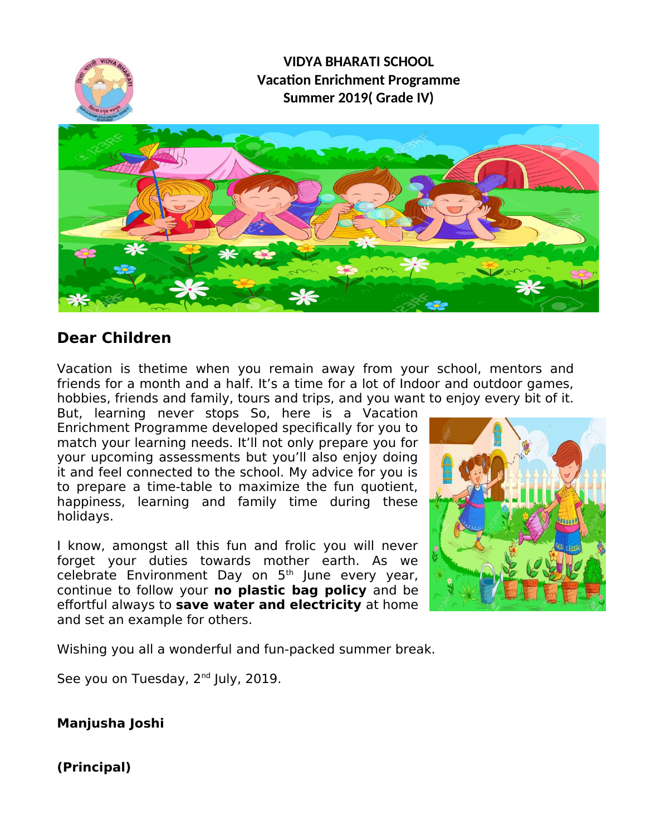

# **Dear Children**

Vacation is thetime when you remain away from your school, mentors and friends for a month and a half. It's a time for a lot of Indoor and outdoor games, hobbies, friends and family, tours and trips, and you want to enjoy every bit of it.

But, learning never stops So, here is a Vacation Enrichment Programme developed specifcally for you to match your learning needs. It'll not only prepare you for your upcoming assessments but you'll also enjoy doing it and feel connected to the school. My advice for you is to prepare a time-table to maximize the fun quotient, happiness, learning and family time during these holidays.

I know, amongst all this fun and frolic you will never forget your duties towards mother earth. As we celebrate Environment Day on 5<sup>th</sup> June every year, continue to follow your **no plastic bag policy** and be effortful always to **save water and electricity** at home and set an example for others.



Wishing you all a wonderful and fun-packed summer break.

See you on Tuesday, 2<sup>nd</sup> July, 2019.

**Manjusha Joshi**

**(Principal)**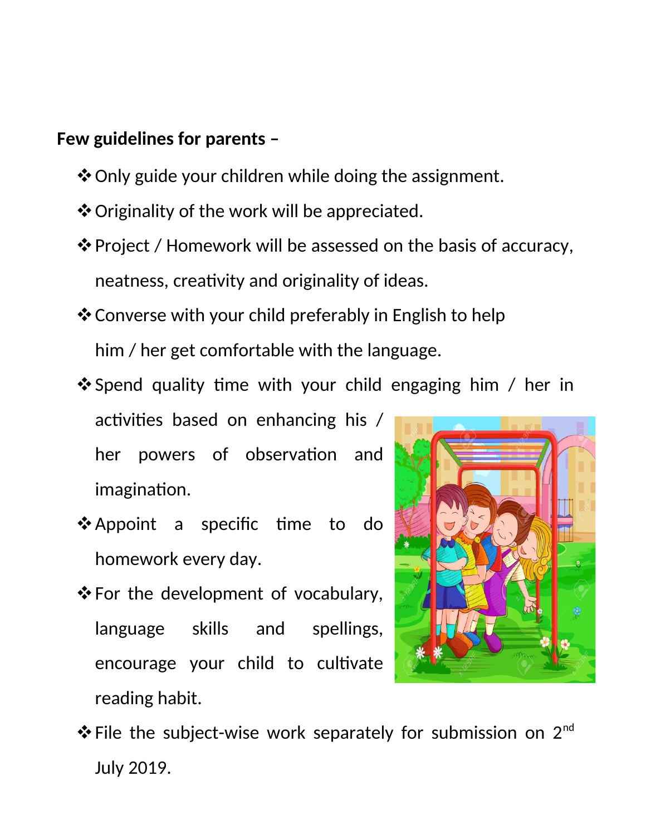# **Few guidelines for parents –**

- Only guide your children while doing the assignment.
- Originality of the work will be appreciated.
- Project / Homework will be assessed on the basis of accuracy, neatness, creativity and originality of ideas.
- ❖ Converse with your child preferably in English to help him / her get comfortable with the language.
- $\clubsuit$  Spend quality time with your child engaging him / her in activities based on enhancing his / her powers of observation and imagination.
- \*Appoint a specific time to do homework every day.
- $\triangle$  For the development of vocabulary, language skills and spellings, encourage your child to cultivate reading habit.



 $\triangle$  File the subject-wise work separately for submission on 2<sup>nd</sup> July 2019.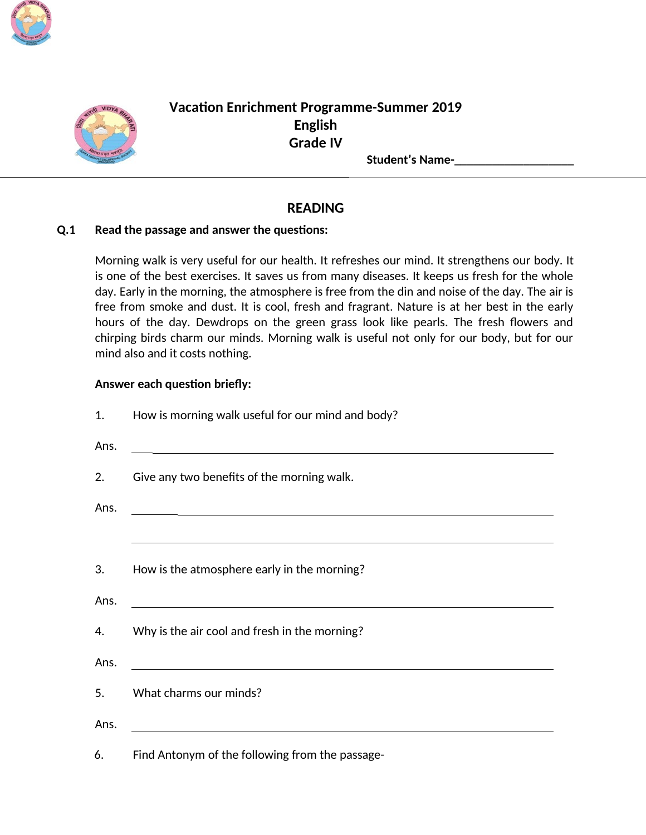



# **Vacation Enrichment Programme-Summer 2019 English Grade IV**

**Student's Name-**

### **READING**

#### $Q.1$ Read the passage and answer the questions:

Morning walk is very useful for our health. It refreshes our mind. It strengthens our body. It is one of the best exercises. It saves us from many diseases. It keeps us fresh for the whole day. Early in the morning, the atmosphere is free from the din and noise of the day. The air is free from smoke and dust. It is cool, fresh and fragrant. Nature is at her best in the early hours of the day. Dewdrops on the green grass look like pearls. The fresh flowers and chirping birds charm our minds. Morning walk is useful not only for our body, but for our mind also and it costs nothing.

#### Answer each question briefly:

| 1.   | How is morning walk useful for our mind and body?                                                                    |
|------|----------------------------------------------------------------------------------------------------------------------|
| Ans. | <u> 1980 - Johann Stoff, fransk politik (d. 1980)</u>                                                                |
| 2.   | Give any two benefits of the morning walk.                                                                           |
| Ans. | <u> 1989 - Andrea Santa Andrea Santa Andrea Santa Andrea Santa Andrea Santa Andrea Santa Andrea Santa Andrea San</u> |
|      |                                                                                                                      |
| 3.   | How is the atmosphere early in the morning?                                                                          |
| Ans. | <u> 1980 - Johann Stoff, amerikansk politiker (d. 1980)</u>                                                          |
| 4.   | Why is the air cool and fresh in the morning?                                                                        |
| Ans. | <u> 1980 - Andrea Stadt, fransk politik (d. 1980)</u>                                                                |
| 5.   | What charms our minds?                                                                                               |
| Ans. | <u> 1989 - Johann Stoff, fransk politik (d. 1989)</u>                                                                |
|      | Find Antonym of the following from the passage-                                                                      |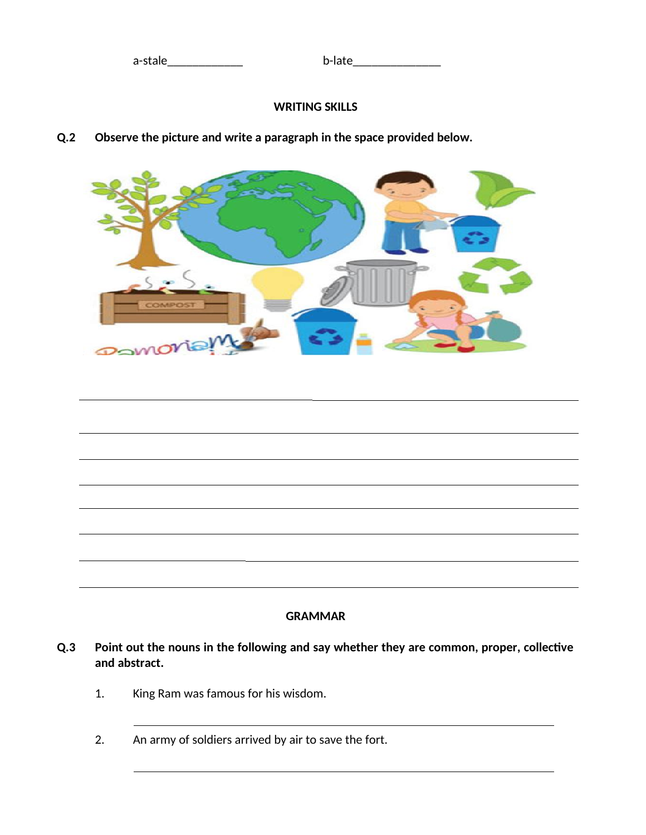### **WRITING SKILLS**

#### Observe the picture and write a paragraph in the space provided below.  $Q.2$





#### **GRAMMAR**

- Point out the nouns in the following and say whether they are common, proper, collective  $Q.3$ and abstract.
	- King Ram was famous for his wisdom. 1.
	- $2.$ An army of soldiers arrived by air to save the fort.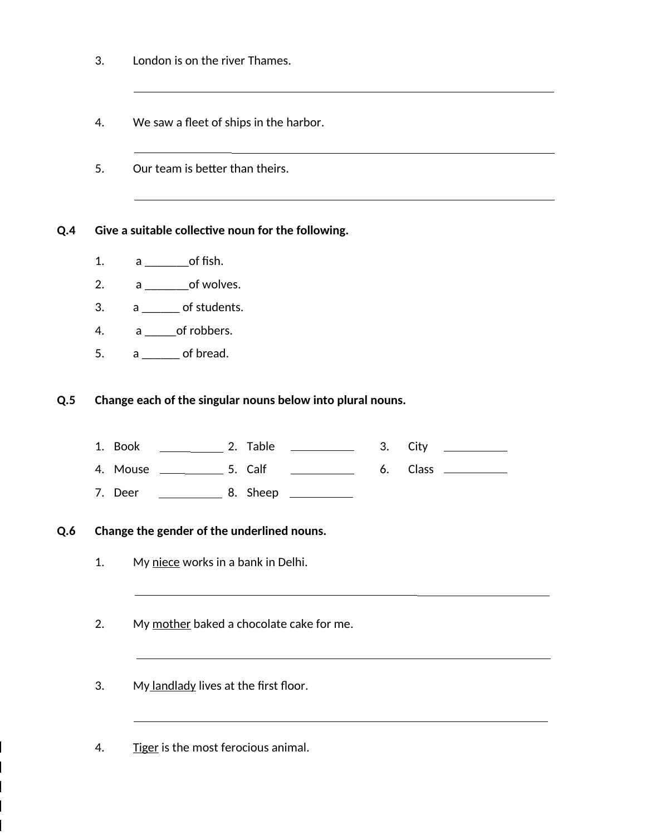- 3. London is on the river Thames.
- 4. We saw a fleet of ships in the harbor.
- 5. Our team is better than theirs.

**Q.4** Give a suitable collective noun for the following.

- 1. a \_\_\_\_\_\_\_of fsh.
- 2.  $a \_ \_ \of$  wolves.
- $3. a$   $\overline{\phantom{a} a}$  of students.
- 4. a of robbers.
- $5. a$   $\overline{\phantom{a}}$  of bread.

**Q.5** Change each of the singular nouns below into plural nouns.

- 1. Book 2. Table 3. City
- 4. Mouse 5. Calf 6. Class
- 7. Deer 8. Sheep

#### **Q.6** Change the gender of the underlined nouns.

- 1. My niece works in a bank in Delhi.
- 2. My mother baked a chocolate cake for me.
- 3. My landlady lives at the first floor.

4. Tiger is the most ferocious animal.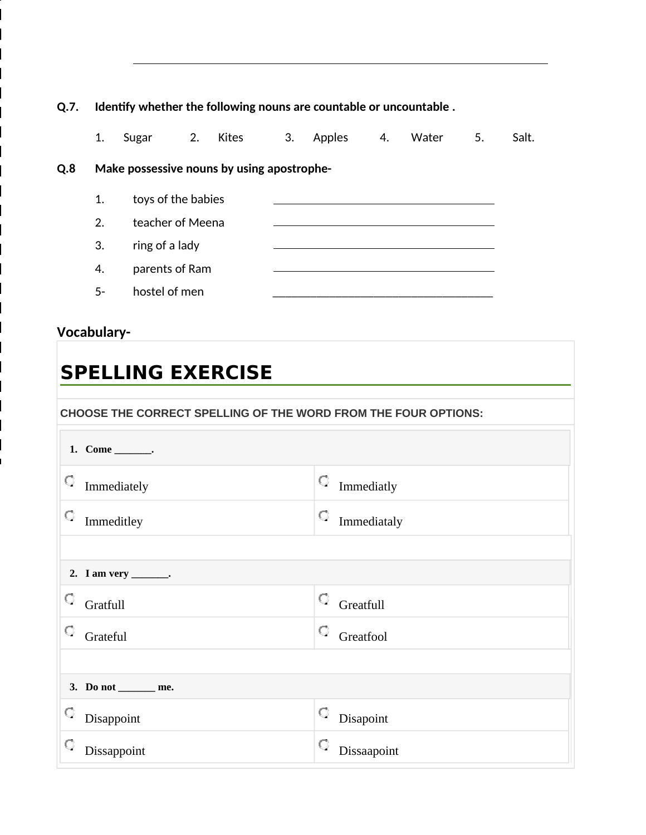| Identify whether the following nouns are countable or uncountable. |                    |  |                                 |                                                |        |    |       |    |       |
|--------------------------------------------------------------------|--------------------|--|---------------------------------|------------------------------------------------|--------|----|-------|----|-------|
| 1.                                                                 | Sugar              |  |                                 | 3.                                             | Apples | 4. | Water | 5. | Salt. |
| Make possessive nouns by using apostrophe-<br>Q.8                  |                    |  |                                 |                                                |        |    |       |    |       |
| 1.                                                                 | toys of the babies |  |                                 |                                                |        |    |       |    |       |
| 2.                                                                 |                    |  |                                 |                                                |        |    |       |    |       |
| 3.                                                                 |                    |  |                                 |                                                |        |    |       |    |       |
| 4.                                                                 |                    |  |                                 |                                                |        |    |       |    |       |
| 5-                                                                 |                    |  |                                 |                                                |        |    |       |    |       |
|                                                                    |                    |  | ring of a lady<br>hostel of men | 2. Kites<br>teacher of Meena<br>parents of Ram |        |    |       |    |       |

# Vocabulary-

# **SPELLING EXERCISE**

CHOOSE THE CORRECT SPELLING OF THE WORD FROM THE FOUR OPTIONS:

| 1. Come _______.       |                         |  |  |  |  |
|------------------------|-------------------------|--|--|--|--|
| O<br>Immediately       | $\hfill\Box$ Immediatly |  |  |  |  |
| O<br>Immeditley        | O<br>Immediataly        |  |  |  |  |
|                        |                         |  |  |  |  |
| 2. I am very _______.  |                         |  |  |  |  |
| $\circ$ Gratfull       | $\circ$ Greatfull       |  |  |  |  |
| O<br>Grateful          | Q.<br>Greatfool         |  |  |  |  |
|                        |                         |  |  |  |  |
| 3. Do not ________ me. |                         |  |  |  |  |
| $\bigcirc$ Disappoint  | $\circ$ Disapoint       |  |  |  |  |
| Q<br>Dissappoint       | Q<br>Dissaapoint        |  |  |  |  |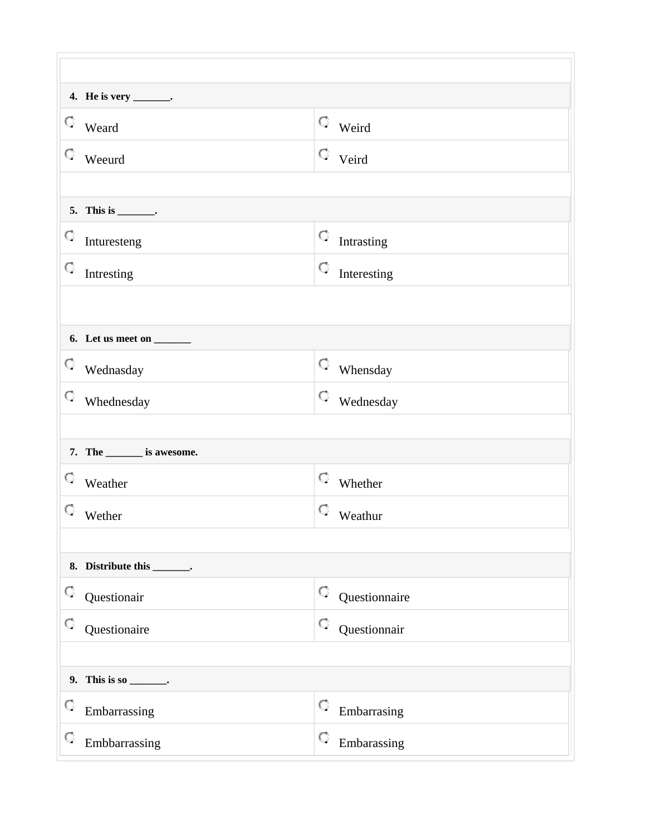|                                            | 4. He is very _______.          |   |                                           |
|--------------------------------------------|---------------------------------|---|-------------------------------------------|
| $\hfill\ensuremath{\mathbb{C}}$ Weard      |                                 |   | $\hfill\ensuremath{\mathbb{C}}$ Weird     |
| $\hfill\ensuremath{\mathbb{C}}$ We<br>eurd |                                 |   | $\hbox{\ensuremath{\mathcal{Q}}}\,$ Veird |
|                                            |                                 |   |                                           |
|                                            | 5. This is $\_\_\_\_\_\_\$ .    |   |                                           |
| $\mathbb{C}\quad$ Inturesteng              |                                 | 9 | Intrasting                                |
| 9                                          | Intresting                      | 9 | Interesting                               |
|                                            |                                 |   |                                           |
|                                            | 6. Let us meet on ______        |   |                                           |
| $\heartsuit$ Wednasday                     |                                 |   | $\heartsuit$ Whensday                     |
|                                            | $\heartsuit$ Whednesday         |   | $\heartsuit$ Wednesday                    |
|                                            |                                 |   |                                           |
|                                            | 7. The _______ is awesome.      |   |                                           |
| $\hfill\ensuremath{\mathbb{C}}$ Weather    |                                 |   | $\hfill\ensuremath{\mathbb{C}}$ Whether   |
| $\hfill\ensuremath{\mathbb{C}}$ We<br>ther |                                 |   | $\hfill\ensuremath{\mathbb{C}}$ Weathur   |
|                                            |                                 |   |                                           |
|                                            | 8. Distribute this _______.     |   |                                           |
| Q                                          | Questionair                     | Q | Questionnaire                             |
| Q                                          | Questionaire                    | O | Questionnair                              |
|                                            |                                 |   |                                           |
|                                            | 9. This is so $\_\_\_\_\_\_\_\$ |   |                                           |
| Q                                          | Embarrassing                    | Q | Embarrasing                               |
| Q                                          | Embbarrassing                   | Q | Embarassing                               |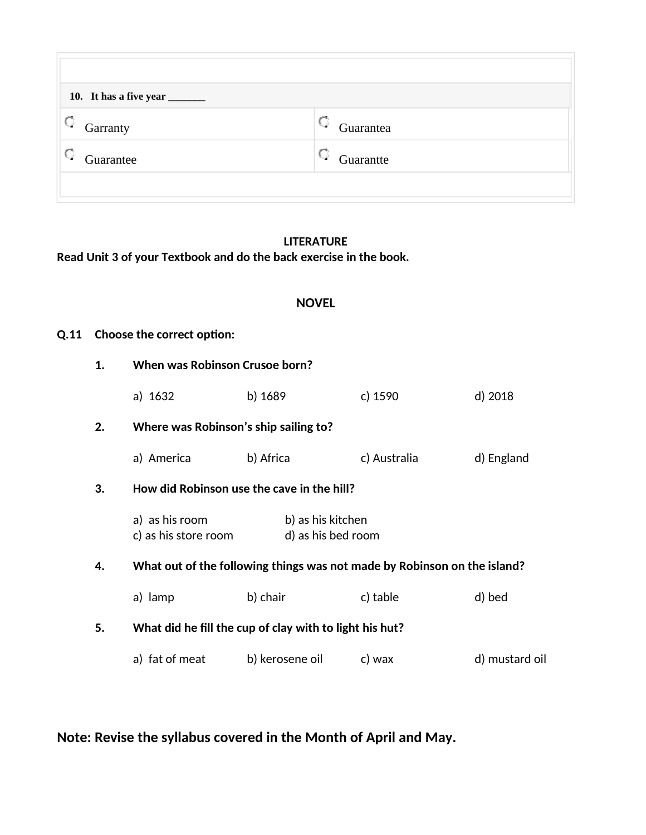| 10. It has a five year _______ |           |  |  |  |  |  |
|--------------------------------|-----------|--|--|--|--|--|
| Garranty                       | Guarantea |  |  |  |  |  |
| Guarantee                      | Guarantte |  |  |  |  |  |
|                                |           |  |  |  |  |  |

### **LITERATURE**

Read Unit 3 of your Textbook and do the back exercise in the book.

### **NOVEL**

### **Q.11** Choose the correct option:

| 1.                                               | When was Robinson Crusoe born?                                           |                                                         |              |                |  |  |
|--------------------------------------------------|--------------------------------------------------------------------------|---------------------------------------------------------|--------------|----------------|--|--|
|                                                  | a) 1632                                                                  | b) 1689                                                 | c) 1590      | d) 2018        |  |  |
| 2.                                               | Where was Robinson's ship sailing to?                                    |                                                         |              |                |  |  |
|                                                  | a) America                                                               | b) Africa                                               | c) Australia | d) England     |  |  |
| How did Robinson use the cave in the hill?<br>3. |                                                                          |                                                         |              |                |  |  |
|                                                  | a) as his room<br>c) as his store room                                   | b) as his kitchen<br>d) as his bed room                 |              |                |  |  |
| 4.                                               | What out of the following things was not made by Robinson on the island? |                                                         |              |                |  |  |
|                                                  | a) lamp                                                                  | b) chair                                                | c) table     | d) bed         |  |  |
| 5.                                               |                                                                          | What did he fill the cup of clay with to light his hut? |              |                |  |  |
|                                                  | a) fat of meat                                                           | b) kerosene oil                                         | c) wax       | d) mustard oil |  |  |

Note: Revise the syllabus covered in the Month of April and May.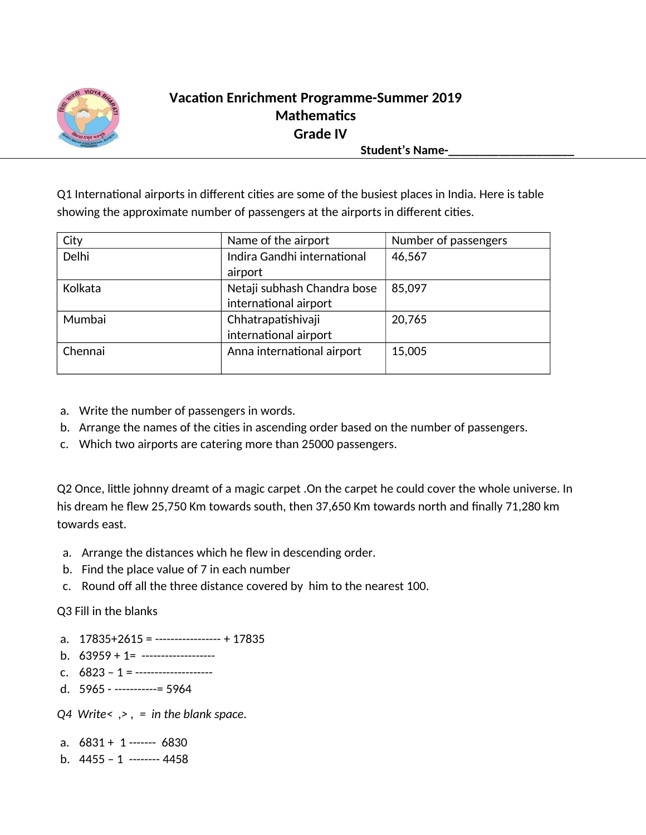

# **Vacation Enrichment Programme-Summer 2019 Mathematics Grade IV**

Student's Name-

Q1 International airports in different cities are some of the busiest places in India. Here is table showing the approximate number of passengers at the airports in diferent cites.

| City    | Name of the airport         | Number of passengers |
|---------|-----------------------------|----------------------|
| Delhi   | Indira Gandhi international | 46,567               |
|         | airport                     |                      |
| Kolkata | Netaji subhash Chandra bose | 85,097               |
|         | international airport       |                      |
| Mumbai  | Chhatrapatishivaji          | 20,765               |
|         | international airport       |                      |
| Chennai | Anna international airport  | 15,005               |
|         |                             |                      |

- a. Write the number of passengers in words.
- b. Arrange the names of the cities in ascending order based on the number of passengers.
- c. Which two airports are catering more than 25000 passengers.

Q2 Once, little johnny dreamt of a magic carpet .On the carpet he could cover the whole universe. In his dream he few 25,750 Km towards south, then 37,650 Km towards north and fnally 71,280 km towards east.

- a. Arrange the distances which he flew in descending order.
- b. Find the place value of  $7$  in each number
- c. Round off all the three distance covered by him to the nearest 100.

#### Q3 Fill in the blanks

- a. 17835+2615 = ----------------- + 17835
- b.  $63959 + 1 =$  -------------------
- c. 6823 1 = --------------------
- d. 5965 -----------= 5964

*Q4 Write< ,> , = in the blank space.*

- a. 6831 + 1 ------- 6830
- b.  $4455 1$  -------  $4458$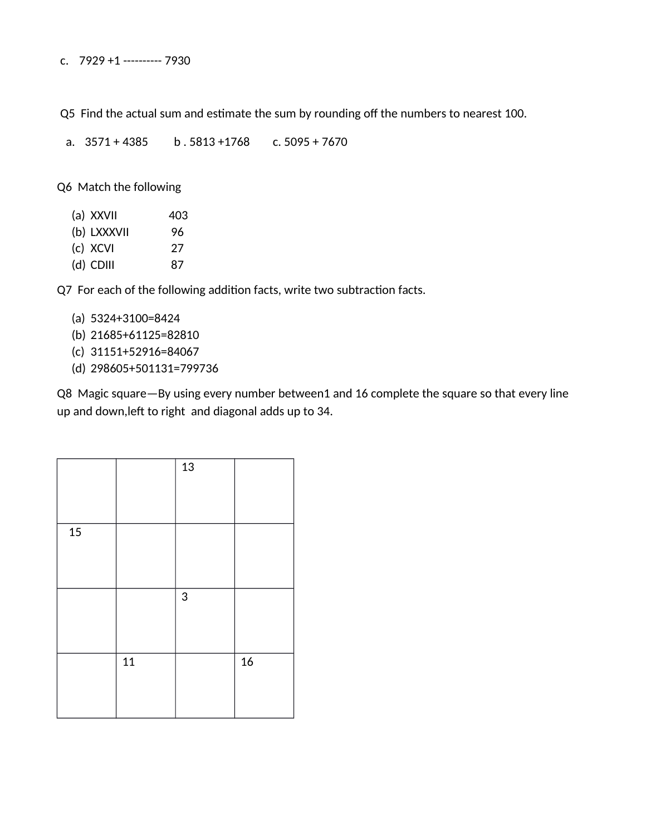c. 7929 +1 ---------- 7930

Q5 Find the actual sum and estimate the sum by rounding off the numbers to nearest 100.

a. 3571 + 4385 b . 5813 +1768 c. 5095 + 7670

Q6 Match the following

| (a) XXVII   | 403 |
|-------------|-----|
| (b) LXXXVII | 96  |
| (c) XCVI    | 27  |
| $(d)$ CDIII | 87  |
|             |     |

Q7 For each of the following addition facts, write two subtraction facts.

- (a) 5324+3100=8424
- (b) 21685+61125=82810
- (c) 31151+52916=84067
- (d) 298605+501131=799736

Q8 Magic square—By using every number between1 and 16 complete the square so that every line up and down, left to right and diagonal adds up to 34.

|        |    | 13         |    |
|--------|----|------------|----|
| $15\,$ |    |            |    |
|        |    | $\sqrt{3}$ |    |
|        | 11 |            | 16 |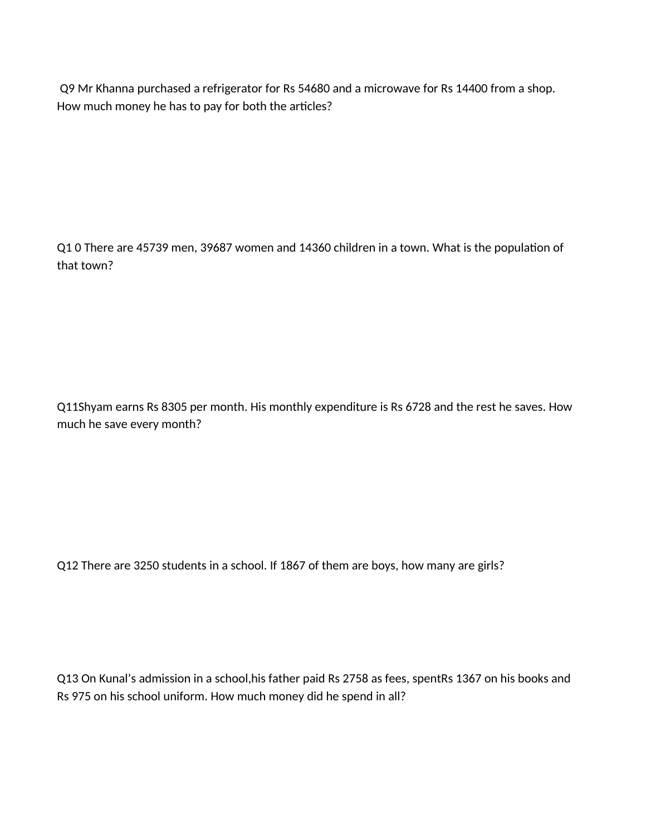Q9 Mr Khanna purchased a refrigerator for Rs 54680 and a microwave for Rs 14400 from a shop. How much money he has to pay for both the articles?

Q1 0 There are 45739 men, 39687 women and 14360 children in a town. What is the population of that town?

Q11Shyam earns Rs 8305 per month. His monthly expenditure is Rs 6728 and the rest he saves. How much he save every month?

Q12 There are 3250 students in a school. If 1867 of them are boys, how many are girls?

Q13 On Kunal's admission in a school,his father paid Rs 2758 as fees, spentRs 1367 on his books and Rs 975 on his school uniform. How much money did he spend in all?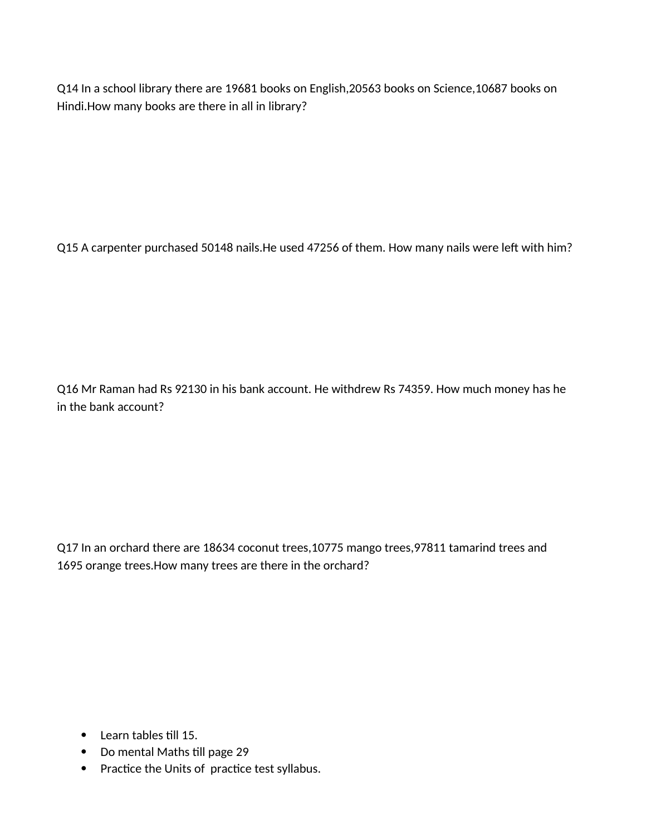Q14 In a school library there are 19681 books on English,20563 books on Science,10687 books on Hindi.How many books are there in all in library?

Q15 A carpenter purchased 50148 nails. He used 47256 of them. How many nails were left with him?

Q16 Mr Raman had Rs 92130 in his bank account. He withdrew Rs 74359. How much money has he in the bank account?

Q17 In an orchard there are 18634 coconut trees,10775 mango trees,97811 tamarind trees and 1695 orange trees.How many trees are there in the orchard?

- Learn tables till 15.
- Do mental Maths till page 29
- Practice the Units of practice test syllabus.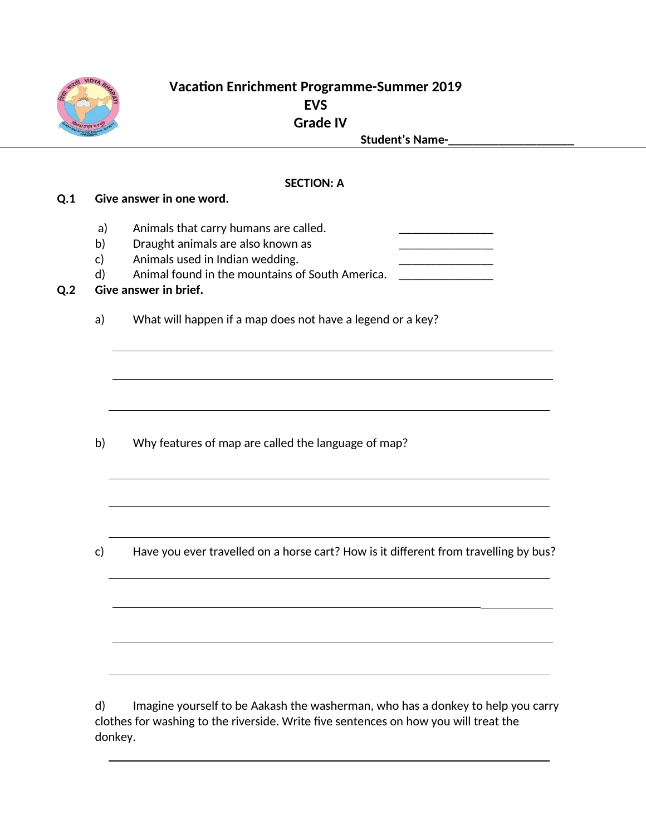

## **Vacation Enrichment Programme-Summer 2019 EVS Grade IV** Student's Name-

#### **SECTION: A**

#### **Q.1** Give answer in one word.

- a) Animals that carry humans are called.
- b) Draught animals are also known as
- c) Animals used in Indian wedding.
- d) Animal found in the mountains of South America.

#### **Q.2** Give answer in brief.

a) What will happen if a map does not have a legend or a key?

b) Why features of map are called the language of map?

c) Have you ever travelled on a horse cart? How is it different from travelling by bus?

d) Imagine yourself to be Aakash the washerman, who has a donkey to help you carry clothes for washing to the riverside. Write five sentences on how you will treat the donkey.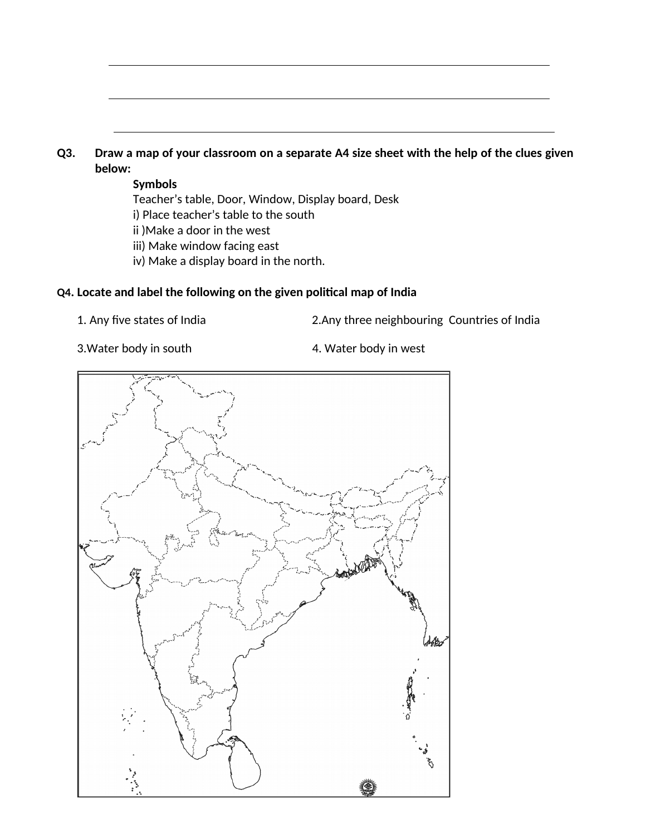### **Q3.** Draw a map of your classroom on a separate A4 size sheet with the help of the clues given **below:**

#### **Symbols**

Teacher's table, Door, Window, Display board, Desk i) Place teacher's table to the south

ii )Make a door in the west

- iii) Make window facing east
- iv) Make a display board in the north.

### **Q4. Locate and label the following on the given political map of India**

- 
- 1. Any five states of India 2.Any three neighbouring Countries of India
- 
- 3. Water body in south 4. Water body in west

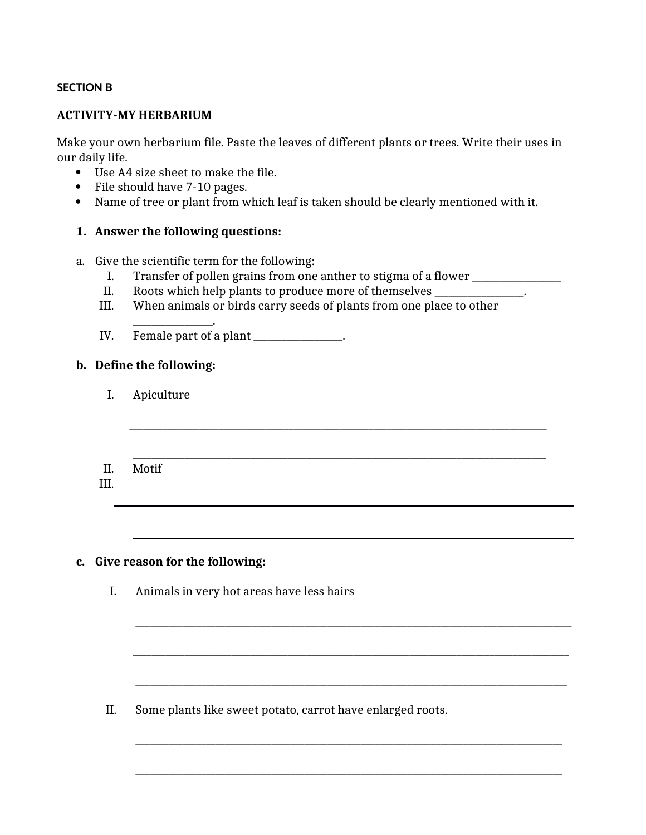#### **SECTION B**

#### **ACTIVITY-MY HERBARIUM**

Make your own herbarium file. Paste the leaves of different plants or trees. Write their uses in our daily life.

- Use A4 size sheet to make the file.
- File should have 7-10 pages.
- Name of tree or plant from which leaf is taken should be clearly mentioned with it.

#### **1. Answer the following questions:**

- a. Give the scientific term for the following:
	- I. Transfer of pollen grains from one anther to stigma of a flower \_\_\_\_\_\_\_\_\_\_\_\_\_
	- II. Roots which help plants to produce more of themselves \_\_\_\_\_\_\_\_\_\_\_\_\_\_\_.
	- III. When animals or birds carry seeds of plants from one place to other

\_\_\_\_\_\_\_\_\_\_\_\_\_\_\_\_\_\_\_\_\_\_\_\_\_\_\_\_\_\_\_\_\_\_\_\_\_\_\_\_\_\_\_\_\_\_\_\_\_\_\_\_\_\_\_\_\_\_\_\_\_\_\_\_\_\_\_\_\_\_\_\_\_\_\_\_\_\_\_\_\_\_\_\_\_\_\_\_\_

\_\_\_\_\_\_\_\_\_\_\_\_\_\_\_\_\_\_\_\_\_\_\_\_\_\_\_\_\_\_\_\_\_\_\_\_\_\_\_\_\_\_\_\_\_\_\_\_\_\_\_\_\_\_\_\_\_\_\_\_\_\_\_\_\_\_\_\_\_\_\_\_\_\_\_\_\_\_\_\_\_\_\_\_\_\_\_\_\_\_\_\_\_

\_\_\_\_\_\_\_\_\_\_\_\_\_\_\_\_\_\_\_\_\_\_\_\_\_\_\_\_\_\_\_\_\_\_\_\_\_\_\_\_\_\_\_\_\_\_\_\_\_\_\_\_\_\_\_\_\_\_\_\_\_\_\_\_\_\_\_\_\_\_\_\_\_\_\_\_\_\_\_\_\_\_\_\_\_\_\_\_\_\_\_\_\_

\_\_\_\_\_\_\_\_\_\_\_\_\_\_\_\_\_\_\_\_\_\_\_\_\_\_\_\_\_\_\_\_\_\_\_\_\_\_\_\_\_\_\_\_\_\_\_\_\_\_\_\_\_\_\_\_\_\_\_\_\_\_\_\_\_\_\_\_\_\_\_\_\_\_\_\_\_\_\_\_\_\_\_\_\_\_\_\_\_\_\_\_

\_\_\_\_\_\_\_\_\_\_\_\_\_\_\_\_\_\_\_\_\_\_\_\_\_\_\_\_\_\_\_\_\_\_\_\_\_\_\_\_\_\_\_\_\_\_\_\_\_\_\_\_\_\_\_\_\_\_\_\_\_\_\_\_\_\_\_\_\_\_\_\_\_\_\_\_\_\_\_\_\_\_\_\_\_\_\_\_\_\_\_

\_\_\_\_\_\_\_\_\_\_\_\_\_\_\_\_\_\_\_\_\_\_\_\_\_\_\_\_\_\_\_\_\_\_\_\_\_\_\_\_\_\_\_\_\_\_\_\_\_\_\_\_\_\_\_\_\_\_\_\_\_\_\_\_\_\_\_\_\_\_\_\_\_\_\_\_\_\_\_\_\_\_\_\_\_\_\_\_\_\_\_

\_\_\_\_\_\_\_\_\_\_\_\_\_\_\_\_\_. IV. Female part of a plant \_\_\_\_\_\_\_\_\_\_\_\_\_\_.

#### **b. Define the following:**

- I. Apiculture
- \_\_\_\_\_\_\_\_\_\_\_\_\_\_\_\_\_\_\_\_\_\_\_\_\_\_\_\_\_\_\_\_\_\_\_\_\_\_\_\_\_\_\_\_\_\_\_\_\_\_\_\_\_\_\_\_\_\_\_\_\_\_\_\_\_\_\_\_\_\_\_\_\_\_\_\_\_\_\_\_\_\_\_\_\_\_\_\_ II. Motif
- III.

#### **c. Give reason for the following:**

I. Animals in very hot areas have less hairs

II. Some plants like sweet potato, carrot have enlarged roots.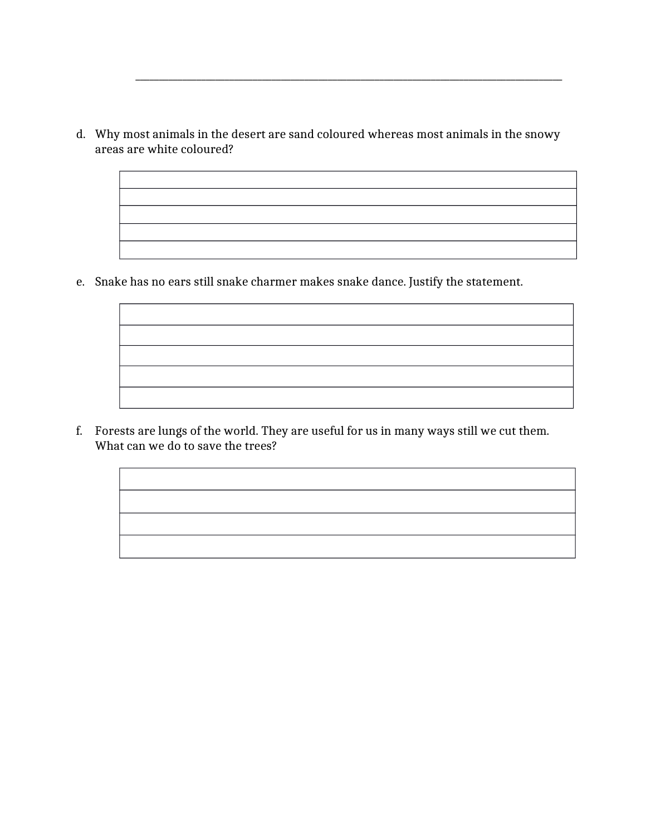d. Why most animals in the desert are sand coloured whereas most animals in the snowy areas are white coloured?

\_\_\_\_\_\_\_\_\_\_\_\_\_\_\_\_\_\_\_\_\_\_\_\_\_\_\_\_\_\_\_\_\_\_\_\_\_\_\_\_\_\_\_\_\_\_\_\_\_\_\_\_\_\_\_\_\_\_\_\_\_\_\_\_\_\_\_\_\_\_\_\_\_\_\_\_\_\_\_\_\_\_\_\_\_\_\_\_\_\_\_

e. Snake has no ears still snake charmer makes snake dance. Justify the statement.

f. Forests are lungs of the world. They are useful for us in many ways still we cut them. What can we do to save the trees?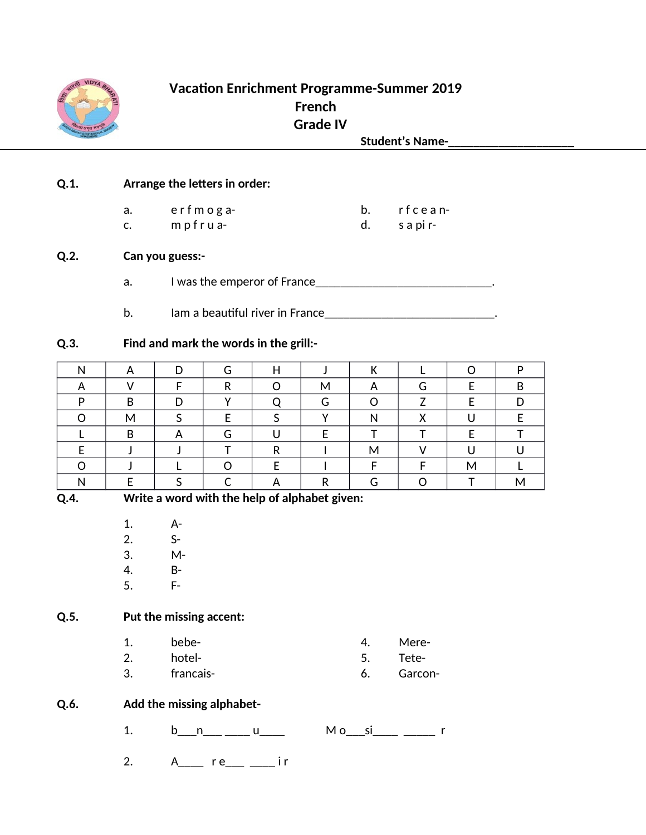

# **Vacation Enrichment Programme-Summer 2019** French **Grade IV**

**Student's Name-**

#### $Q.1.$ Arrange the letters in order:

| a. | erfmoga-       | rfcean-   |
|----|----------------|-----------|
|    | $m$ p f r u a- | s a pi r- |

c.  $mp$ frua-

#### $Q.2.$ Can you guess:-

- I was the emperor of France\_\_\_\_\_\_\_\_\_\_\_\_\_\_\_\_\_\_\_\_\_\_\_\_\_\_\_\_\_\_\_\_\_\_. a.
- b.

#### $Q.3.$ Find and mark the words in the grill:-

|   | D | м  | –       |     | n |
|---|---|----|---------|-----|---|
| D |   | п. |         |     |   |
| M |   |    |         |     |   |
| ח |   |    |         |     |   |
|   |   |    |         |     |   |
|   |   |    |         | ιvι |   |
|   |   | n  | -<br>п. |     |   |

Q.4.

Write a word with the help of alphabet given:

- $1.$  $A -$
- $2.$  $S-$
- 3.  $M -$
- $4.$  $B -$
- 5.  $F -$

#### $Q.5.$ Put the missing accent:

- $1.$ bebe-
- $2.$ hotel-
- $3.$ francais-

#### Q.6. Add the missing alphabet-

b\_\_ n\_\_\_ \_\_\_\_ u\_\_\_\_ M o\_\_ si\_\_\_\_ \_\_\_\_\_ r  $1.$ 

 $4.$ 

5.

6.

Mere-

Tete-

Garcon-

A\_\_\_\_ re\_\_\_ \_\_\_ ir  $2.$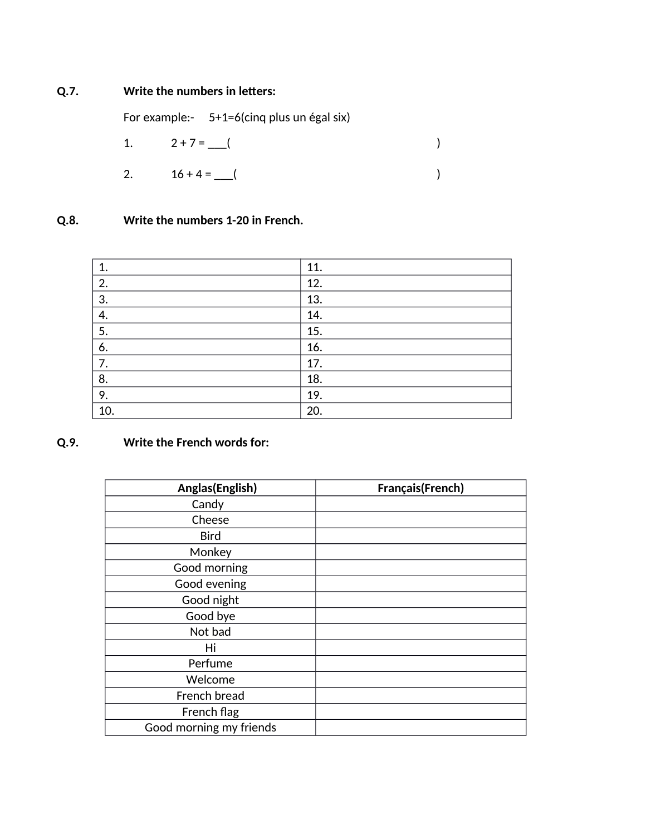### **Q.7. Write the numbers in letters:**

For example:- 5+1=6(cinq plus un égal six)

1.  $2 + 7 =$  (

2. 
$$
16 + 4 =
$$
 ( )

# **Q.8. Write the numbers 1-20 in French.**

| 1.  | 11. |
|-----|-----|
| 2.  | 12. |
| 3.  | 13. |
| 4.  | 14. |
| 5.  | 15. |
| 6.  | 16. |
| 7.  | 17. |
| 8.  | 18. |
| 9.  | 19. |
| 10. | 20. |

### **Q.9. Write the French words for:**

| Anglas(English)         | Français(French) |
|-------------------------|------------------|
| Candy                   |                  |
| Cheese                  |                  |
| <b>Bird</b>             |                  |
| Monkey                  |                  |
| Good morning            |                  |
| Good evening            |                  |
| Good night              |                  |
| Good bye                |                  |
| Not bad                 |                  |
| Hi                      |                  |
| Perfume                 |                  |
| Welcome                 |                  |
| French bread            |                  |
| French flag             |                  |
| Good morning my friends |                  |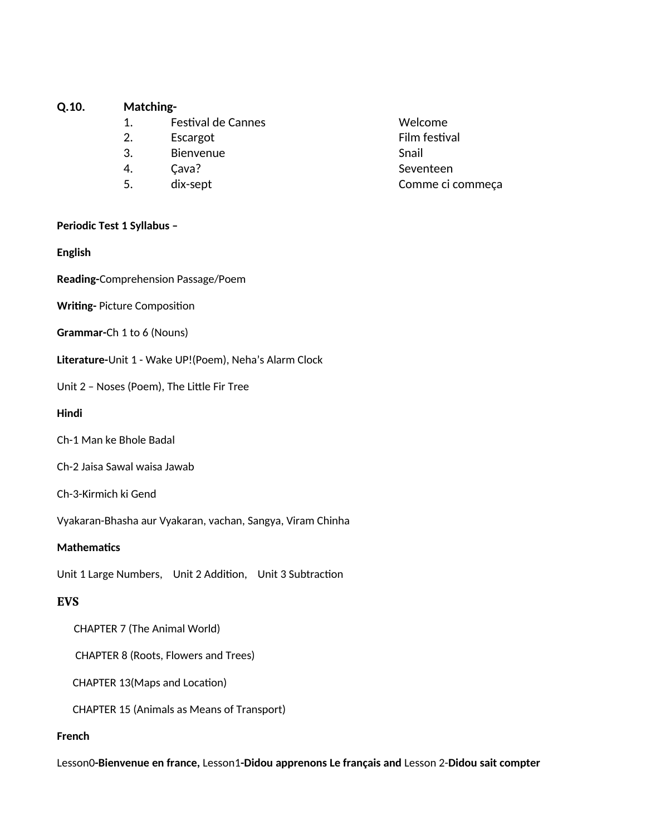#### $Q.10.$ **Matching-**

- $1.$ Festival de Cannes
- $2.$ Escargot
- $3.$ Bienvenue
- $4.$ Cava?
- 5. dix-sept

#### Periodic Test 1 Syllabus -

**English** 

Reading-Comprehension Passage/Poem

#### **Writing-Picture Composition**

#### Grammar-Ch 1 to 6 (Nouns)

Literature-Unit 1 - Wake UP!(Poem), Neha's Alarm Clock

Unit 2 - Noses (Poem), The Little Fir Tree

#### Hindi

- Ch-1 Man ke Bhole Badal
- Ch-2 Jaisa Sawal waisa Jawab
- Ch-3-Kirmich ki Gend

Vyakaran-Bhasha aur Vyakaran, vachan, Sangya, Viram Chinha

#### **Mathematics**

Unit 1 Large Numbers, Unit 2 Addition, Unit 3 Subtraction

#### **EVS**

**CHAPTER 7 (The Animal World)** 

**CHAPTER 8 (Roots, Flowers and Trees)** 

CHAPTER 13(Maps and Location)

**CHAPTER 15 (Animals as Means of Transport)** 

#### **French**

Lesson0-Bienvenue en france, Lesson1-Didou apprenons Le français and Lesson 2-Didou sait compter

Welcome Film festival Snail Seventeen Comme ci commeça